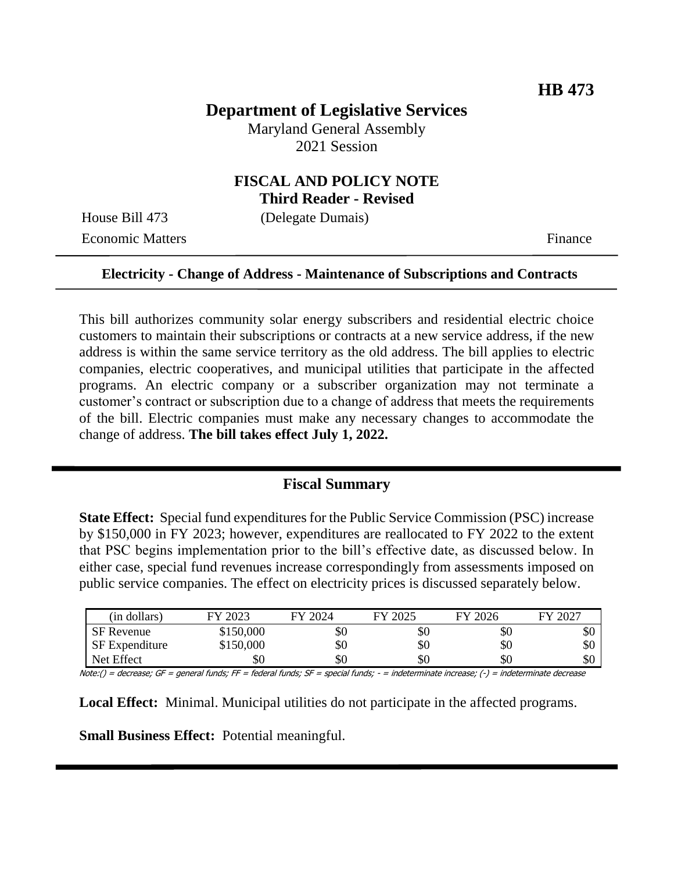# **Department of Legislative Services**

Maryland General Assembly 2021 Session

## **FISCAL AND POLICY NOTE Third Reader - Revised**

House Bill 473 (Delegate Dumais)

Economic Matters **Finance** 

#### **Electricity - Change of Address - Maintenance of Subscriptions and Contracts**

This bill authorizes community solar energy subscribers and residential electric choice customers to maintain their subscriptions or contracts at a new service address, if the new address is within the same service territory as the old address. The bill applies to electric companies, electric cooperatives, and municipal utilities that participate in the affected programs. An electric company or a subscriber organization may not terminate a customer's contract or subscription due to a change of address that meets the requirements of the bill. Electric companies must make any necessary changes to accommodate the change of address. **The bill takes effect July 1, 2022.**

#### **Fiscal Summary**

**State Effect:** Special fund expenditures for the Public Service Commission (PSC) increase by \$150,000 in FY 2023; however, expenditures are reallocated to FY 2022 to the extent that PSC begins implementation prior to the bill's effective date, as discussed below. In either case, special fund revenues increase correspondingly from assessments imposed on public service companies. The effect on electricity prices is discussed separately below.

| (in dollars)          | FY 2023   | FY 2024 | FY 2025 | FY 2026 | FY 2027 |
|-----------------------|-----------|---------|---------|---------|---------|
| <b>SF</b> Revenue     | \$150,000 | \$0.    | \$0     | УU      | DU.     |
| <b>SF</b> Expenditure | \$150,000 | \$0     | \$0     | \$0     | DС      |
| Net Effect            | \$0       | \$0     | \$0     | \$0     | DС      |

Note:() = decrease; GF = general funds; FF = federal funds; SF = special funds; - = indeterminate increase; (-) = indeterminate decrease

**Local Effect:** Minimal. Municipal utilities do not participate in the affected programs.

**Small Business Effect:** Potential meaningful.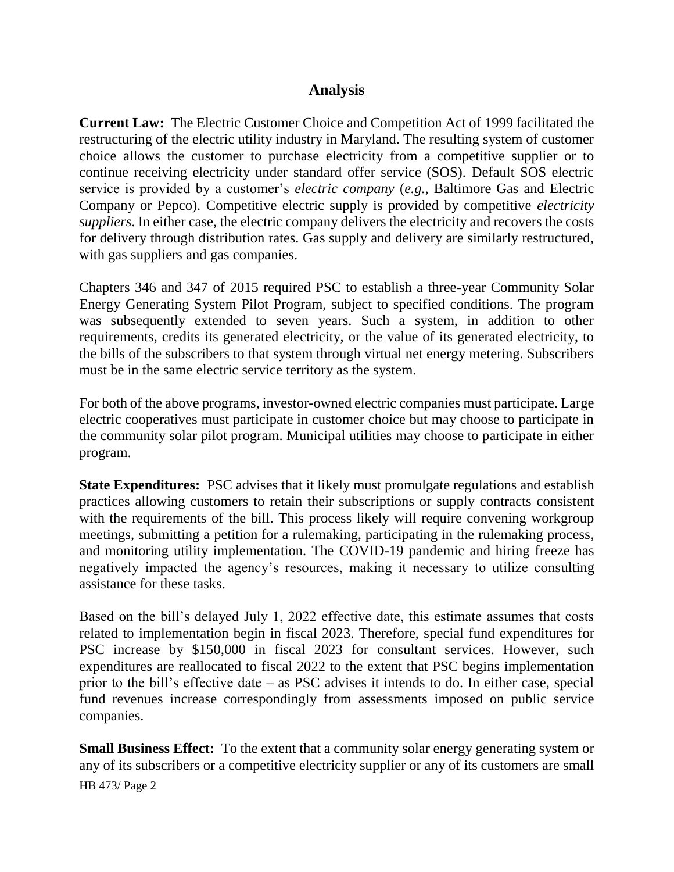## **Analysis**

**Current Law:** The Electric Customer Choice and Competition Act of 1999 facilitated the restructuring of the electric utility industry in Maryland. The resulting system of customer choice allows the customer to purchase electricity from a competitive supplier or to continue receiving electricity under standard offer service (SOS). Default SOS electric service is provided by a customer's *electric company* (*e.g.*, Baltimore Gas and Electric Company or Pepco). Competitive electric supply is provided by competitive *electricity suppliers*. In either case, the electric company delivers the electricity and recovers the costs for delivery through distribution rates. Gas supply and delivery are similarly restructured, with gas suppliers and gas companies.

Chapters 346 and 347 of 2015 required PSC to establish a three-year Community Solar Energy Generating System Pilot Program, subject to specified conditions. The program was subsequently extended to seven years. Such a system, in addition to other requirements, credits its generated electricity, or the value of its generated electricity, to the bills of the subscribers to that system through virtual net energy metering. Subscribers must be in the same electric service territory as the system.

For both of the above programs, investor-owned electric companies must participate. Large electric cooperatives must participate in customer choice but may choose to participate in the community solar pilot program. Municipal utilities may choose to participate in either program.

**State Expenditures:** PSC advises that it likely must promulgate regulations and establish practices allowing customers to retain their subscriptions or supply contracts consistent with the requirements of the bill. This process likely will require convening workgroup meetings, submitting a petition for a rulemaking, participating in the rulemaking process, and monitoring utility implementation. The COVID-19 pandemic and hiring freeze has negatively impacted the agency's resources, making it necessary to utilize consulting assistance for these tasks.

Based on the bill's delayed July 1, 2022 effective date, this estimate assumes that costs related to implementation begin in fiscal 2023. Therefore, special fund expenditures for PSC increase by \$150,000 in fiscal 2023 for consultant services. However, such expenditures are reallocated to fiscal 2022 to the extent that PSC begins implementation prior to the bill's effective date – as PSC advises it intends to do. In either case, special fund revenues increase correspondingly from assessments imposed on public service companies.

HB 473/ Page 2 **Small Business Effect:** To the extent that a community solar energy generating system or any of its subscribers or a competitive electricity supplier or any of its customers are small